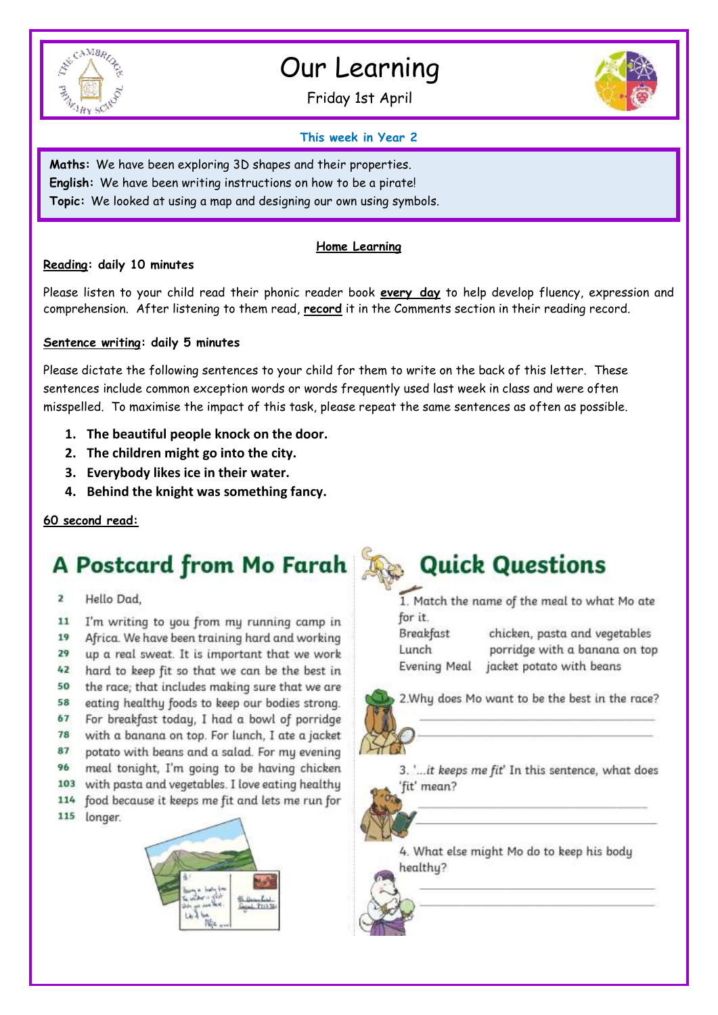

# Our Learning

Friday 1st April



#### **This week in Year 2**

**Maths:** We have been exploring 3D shapes and their properties. **English:** We have been writing instructions on how to be a pirate! **Topic:** We looked at using a map and designing our own using symbols.

### **Home Learning**

#### **Reading: daily 10 minutes**

Please listen to your child read their phonic reader book **every day** to help develop fluency, expression and comprehension. After listening to them read, **record** it in the Comments section in their reading record.

#### **Sentence writing: daily 5 minutes**

Please dictate the following sentences to your child for them to write on the back of this letter. These sentences include common exception words or words frequently used last week in class and were often misspelled. To maximise the impact of this task, please repeat the same sentences as often as possible.

- **1. The beautiful people knock on the door.**
- **2. The children might go into the city.**
- **3. Everybody likes ice in their water.**
- **4. Behind the knight was something fancy.**

#### **60 second read:**

## A Postcard from Mo Farah As Quick Questions

 $\overline{\mathbf{z}}$ Hello Dad,

11 I'm writing to you from my running camp in 19 Africa. We have been training hard and working 29 up a real sweat. It is important that we work 42 hard to keep fit so that we can be the best in the race; that includes making sure that we are 50 58 eating healthy foods to keep our bodies strong. 67 For breakfast today, I had a bowl of porridge 78 with a banana on top. For lunch, I ate a jacket 87 potato with beans and a salad. For my evening meal tonight, I'm going to be having chicken 96 103 with pasta and vegetables. I love eating healthy 114 food because it keeps me fit and lets me run for 115 longer.



1. Match the name of the meal to what Mo ate for it.

**Breakfast** Lunch **Evening Meal** 

chicken, pasta and vegetables porridge with a banana on top jacket potato with beans

2. Why does Mo want to be the best in the race?



3. '... it keeps me fit' In this sentence, what does 'fit' mean?

4. What else might Mo do to keep his body healthy?